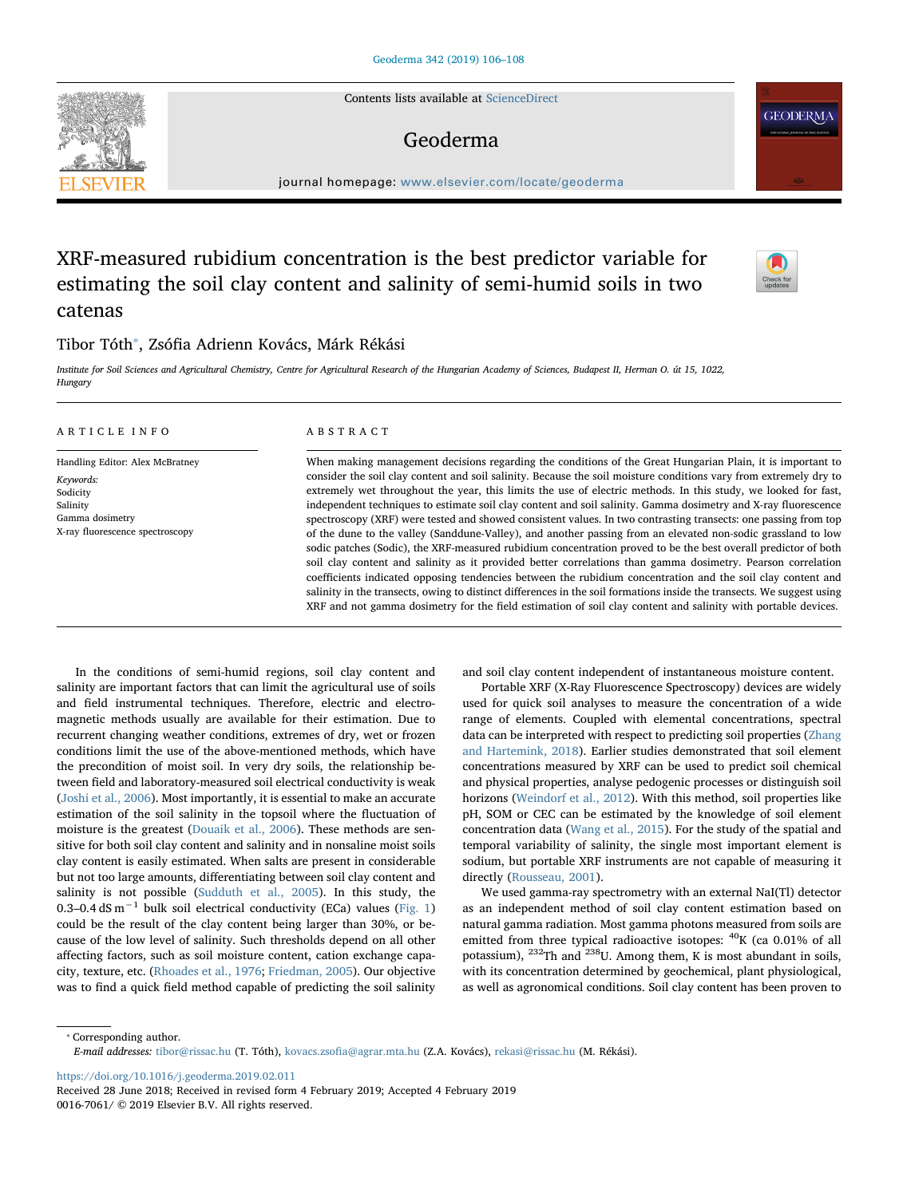Contents lists available at [ScienceDirect](http://www.sciencedirect.com/science/journal/00167061)

## Geoderma

journal homepage: [www.elsevier.com/locate/geoderma](https://www.elsevier.com/locate/geoderma)

# XRF-measured rubidium concentration is the best predictor variable for estimating the soil clay content and salinity of semi-humid soils in two catenas

## Tibor Tóth<sup>\*</sup>, Zsófia Adrienn Kovács, Márk Rékási

Institute for Soil Sciences and Agricultural Chemistry, Centre for Agricultural Research of the Hungarian Academy of Sciences, Budapest II, Herman O. út 15, 1022, **Hungary** 

#### ARTICLE INFO

Handling Editor: Alex McBratney Keywords: Sodicity Salinity Gamma dosimetry X-ray fluorescence spectroscopy

### ABSTRACT

When making management decisions regarding the conditions of the Great Hungarian Plain, it is important to consider the soil clay content and soil salinity. Because the soil moisture conditions vary from extremely dry to extremely wet throughout the year, this limits the use of electric methods. In this study, we looked for fast, independent techniques to estimate soil clay content and soil salinity. Gamma dosimetry and X-ray fluorescence spectroscopy (XRF) were tested and showed consistent values. In two contrasting transects: one passing from top of the dune to the valley (Sanddune-Valley), and another passing from an elevated non-sodic grassland to low sodic patches (Sodic), the XRF-measured rubidium concentration proved to be the best overall predictor of both soil clay content and salinity as it provided better correlations than gamma dosimetry. Pearson correlation coefficients indicated opposing tendencies between the rubidium concentration and the soil clay content and salinity in the transects, owing to distinct differences in the soil formations inside the transects. We suggest using XRF and not gamma dosimetry for the field estimation of soil clay content and salinity with portable devices.

In the conditions of semi-humid regions, soil clay content and salinity are important factors that can limit the agricultural use of soils and field instrumental techniques. Therefore, electric and electromagnetic methods usually are available for their estimation. Due to recurrent changing weather conditions, extremes of dry, wet or frozen conditions limit the use of the above-mentioned methods, which have the precondition of moist soil. In very dry soils, the relationship between field and laboratory-measured soil electrical conductivity is weak ([Joshi et al., 2006](#page-2-0)). Most importantly, it is essential to make an accurate estimation of the soil salinity in the topsoil where the fluctuation of moisture is the greatest [\(Douaik et al., 2006\)](#page-2-1). These methods are sensitive for both soil clay content and salinity and in nonsaline moist soils clay content is easily estimated. When salts are present in considerable but not too large amounts, differentiating between soil clay content and salinity is not possible ([Sudduth et al., 2005](#page-2-2)). In this study, the 0.3–0.4 dS m−<sup>1</sup> bulk soil electrical conductivity (ECa) values ([Fig. 1\)](#page-1-0) could be the result of the clay content being larger than 30%, or because of the low level of salinity. Such thresholds depend on all other affecting factors, such as soil moisture content, cation exchange capacity, texture, etc. ([Rhoades et al., 1976;](#page-2-3) [Friedman, 2005\)](#page-2-4). Our objective was to find a quick field method capable of predicting the soil salinity

and soil clay content independent of instantaneous moisture content.

Portable XRF (X-Ray Fluorescence Spectroscopy) devices are widely used for quick soil analyses to measure the concentration of a wide range of elements. Coupled with elemental concentrations, spectral data can be interpreted with respect to predicting soil properties ([Zhang](#page-2-5) [and Hartemink, 2018\)](#page-2-5). Earlier studies demonstrated that soil element concentrations measured by XRF can be used to predict soil chemical and physical properties, analyse pedogenic processes or distinguish soil horizons [\(Weindorf et al., 2012\)](#page-2-6). With this method, soil properties like pH, SOM or CEC can be estimated by the knowledge of soil element concentration data ([Wang et al., 2015](#page-2-7)). For the study of the spatial and temporal variability of salinity, the single most important element is sodium, but portable XRF instruments are not capable of measuring it directly [\(Rousseau, 2001\)](#page-2-8).

We used gamma-ray spectrometry with an external NaI(Tl) detector as an independent method of soil clay content estimation based on natural gamma radiation. Most gamma photons measured from soils are emitted from three typical radioactive isotopes:  ${}^{40}$ K (ca 0.01% of all potassium), 232Th and 238U. Among them, K is most abundant in soils, with its concentration determined by geochemical, plant physiological, as well as agronomical conditions. Soil clay content has been proven to

<span id="page-0-0"></span>⁎ Corresponding author. E-mail addresses: [tibor@rissac.hu](mailto:tibor@rissac.hu) (T. Tóth), kovacs.zsofi[a@agrar.mta.hu](mailto:kovacs.zsofia@agrar.mta.hu) (Z.A. Kovács), [rekasi@rissac.hu](mailto:rekasi@rissac.hu) (M. Rékási).

<https://doi.org/10.1016/j.geoderma.2019.02.011>

Received 28 June 2018; Received in revised form 4 February 2019; Accepted 4 February 2019 0016-7061/ © 2019 Elsevier B.V. All rights reserved.





**GEODERMA**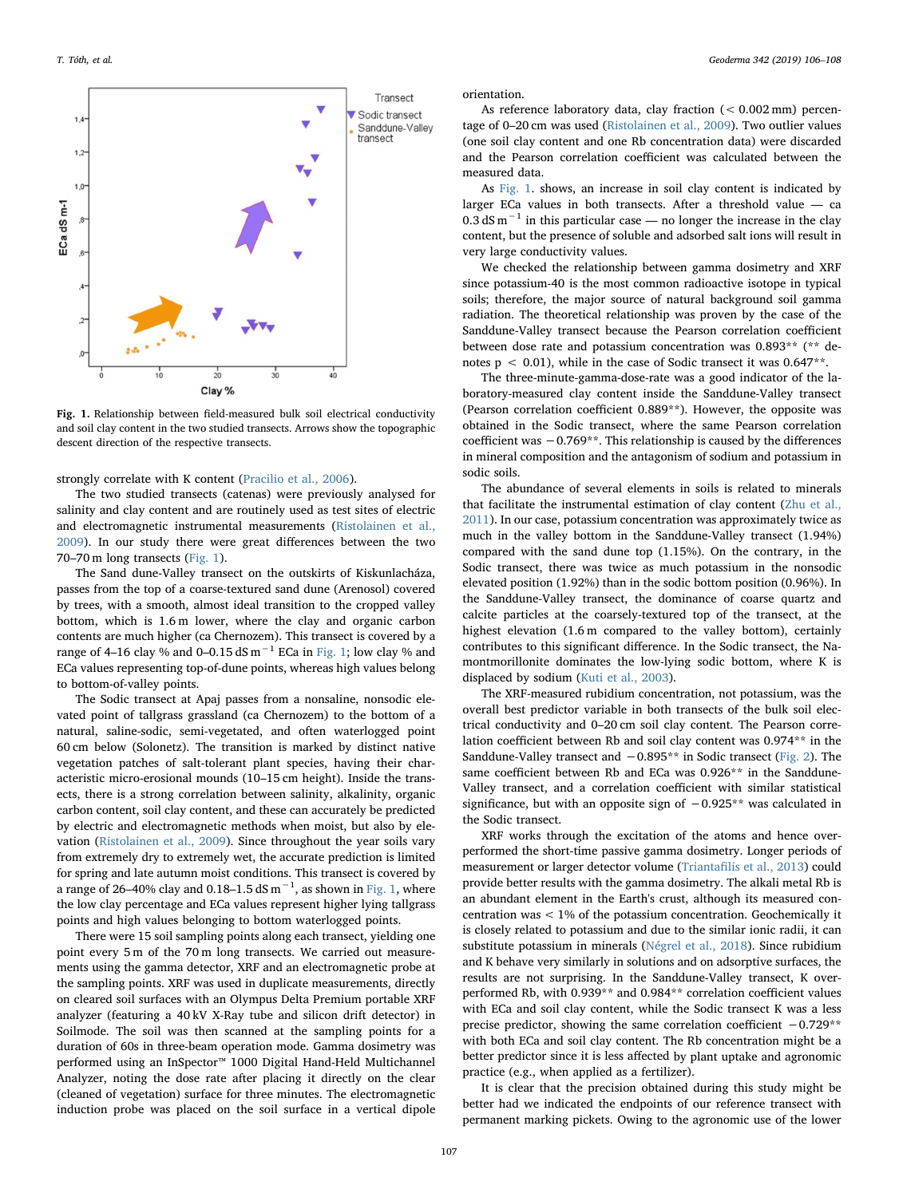<span id="page-1-0"></span>

Fig. 1. Relationship between field-measured bulk soil electrical conductivity and soil clay content in the two studied transects. Arrows show the topographic descent direction of the respective transects.

strongly correlate with K content [\(Pracilio et al., 2006\)](#page-2-9).

The two studied transects (catenas) were previously analysed for salinity and clay content and are routinely used as test sites of electric and electromagnetic instrumental measurements ([Ristolainen et al.,](#page-2-10) [2009\)](#page-2-10). In our study there were great differences between the two 70–70 m long transects [\(Fig. 1\)](#page-1-0).

The Sand dune-Valley transect on the outskirts of Kiskunlacháza, passes from the top of a coarse-textured sand dune (Arenosol) covered by trees, with a smooth, almost ideal transition to the cropped valley bottom, which is 1.6 m lower, where the clay and organic carbon contents are much higher (ca Chernozem). This transect is covered by a range of 4–16 clay % and 0–0.15 dS  $m^{-1}$  ECa in [Fig. 1;](#page-1-0) low clay % and ECa values representing top-of-dune points, whereas high values belong to bottom-of-valley points.

The Sodic transect at Apaj passes from a nonsaline, nonsodic elevated point of tallgrass grassland (ca Chernozem) to the bottom of a natural, saline-sodic, semi-vegetated, and often waterlogged point 60 cm below (Solonetz). The transition is marked by distinct native vegetation patches of salt-tolerant plant species, having their characteristic micro-erosional mounds (10–15 cm height). Inside the transects, there is a strong correlation between salinity, alkalinity, organic carbon content, soil clay content, and these can accurately be predicted by electric and electromagnetic methods when moist, but also by elevation ([Ristolainen et al., 2009\)](#page-2-10). Since throughout the year soils vary from extremely dry to extremely wet, the accurate prediction is limited for spring and late autumn moist conditions. This transect is covered by a range of 26–40% clay and 0.18–1.5 dS  $\mathrm{m}^{-1}$ , as shown in [Fig. 1,](#page-1-0) where the low clay percentage and ECa values represent higher lying tallgrass points and high values belonging to bottom waterlogged points.

There were 15 soil sampling points along each transect, yielding one point every 5 m of the 70 m long transects. We carried out measurements using the gamma detector, XRF and an electromagnetic probe at the sampling points. XRF was used in duplicate measurements, directly on cleared soil surfaces with an Olympus Delta Premium portable XRF analyzer (featuring a 40 kV X-Ray tube and silicon drift detector) in Soilmode. The soil was then scanned at the sampling points for a duration of 60s in three-beam operation mode. Gamma dosimetry was performed using an InSpector™ 1000 Digital Hand-Held Multichannel Analyzer, noting the dose rate after placing it directly on the clear (cleaned of vegetation) surface for three minutes. The electromagnetic induction probe was placed on the soil surface in a vertical dipole

orientation.

As reference laboratory data, clay fraction (< 0.002 mm) percentage of 0–20 cm was used [\(Ristolainen et al., 2009](#page-2-10)). Two outlier values (one soil clay content and one Rb concentration data) were discarded and the Pearson correlation coefficient was calculated between the measured data.

As [Fig. 1](#page-1-0). shows, an increase in soil clay content is indicated by larger ECa values in both transects. After a threshold value — ca 0.3 dS m<sup> $-1$ </sup> in this particular case — no longer the increase in the clay content, but the presence of soluble and adsorbed salt ions will result in very large conductivity values.

We checked the relationship between gamma dosimetry and XRF since potassium-40 is the most common radioactive isotope in typical soils; therefore, the major source of natural background soil gamma radiation. The theoretical relationship was proven by the case of the Sanddune-Valley transect because the Pearson correlation coefficient between dose rate and potassium concentration was 0.893\*\* (\*\* denotes  $p < 0.01$ ), while in the case of Sodic transect it was  $0.647**$ .

The three-minute-gamma-dose-rate was a good indicator of the laboratory-measured clay content inside the Sanddune-Valley transect (Pearson correlation coefficient 0.889\*\*). However, the opposite was obtained in the Sodic transect, where the same Pearson correlation coefficient was −0.769\*\*. This relationship is caused by the differences in mineral composition and the antagonism of sodium and potassium in sodic soils.

The abundance of several elements in soils is related to minerals that facilitate the instrumental estimation of clay content [\(Zhu et al.,](#page-2-11) [2011\)](#page-2-11). In our case, potassium concentration was approximately twice as much in the valley bottom in the Sanddune-Valley transect (1.94%) compared with the sand dune top (1.15%). On the contrary, in the Sodic transect, there was twice as much potassium in the nonsodic elevated position (1.92%) than in the sodic bottom position (0.96%). In the Sanddune-Valley transect, the dominance of coarse quartz and calcite particles at the coarsely-textured top of the transect, at the highest elevation (1.6 m compared to the valley bottom), certainly contributes to this significant difference. In the Sodic transect, the Namontmorillonite dominates the low-lying sodic bottom, where K is displaced by sodium ([Kuti et al., 2003](#page-2-12)).

The XRF-measured rubidium concentration, not potassium, was the overall best predictor variable in both transects of the bulk soil electrical conductivity and 0–20 cm soil clay content. The Pearson correlation coefficient between Rb and soil clay content was 0.974\*\* in the Sanddune-Valley transect and −0.895\*\* in Sodic transect ([Fig. 2\)](#page-2-13). The same coefficient between Rb and ECa was 0.926\*\* in the Sanddune-Valley transect, and a correlation coefficient with similar statistical significance, but with an opposite sign of -0.925<sup>\*\*</sup> was calculated in the Sodic transect.

XRF works through the excitation of the atoms and hence overperformed the short-time passive gamma dosimetry. Longer periods of measurement or larger detector volume (Triantafi[lis et al., 2013\)](#page-2-14) could provide better results with the gamma dosimetry. The alkali metal Rb is an abundant element in the Earth's crust, although its measured concentration was < 1% of the potassium concentration. Geochemically it is closely related to potassium and due to the similar ionic radii, it can substitute potassium in minerals [\(Négrel et al., 2018](#page-2-15)). Since rubidium and K behave very similarly in solutions and on adsorptive surfaces, the results are not surprising. In the Sanddune-Valley transect, K overperformed Rb, with 0.939\*\* and 0.984\*\* correlation coefficient values with ECa and soil clay content, while the Sodic transect K was a less precise predictor, showing the same correlation coefficient −0.729\*\* with both ECa and soil clay content. The Rb concentration might be a better predictor since it is less affected by plant uptake and agronomic practice (e.g., when applied as a fertilizer).

It is clear that the precision obtained during this study might be better had we indicated the endpoints of our reference transect with permanent marking pickets. Owing to the agronomic use of the lower